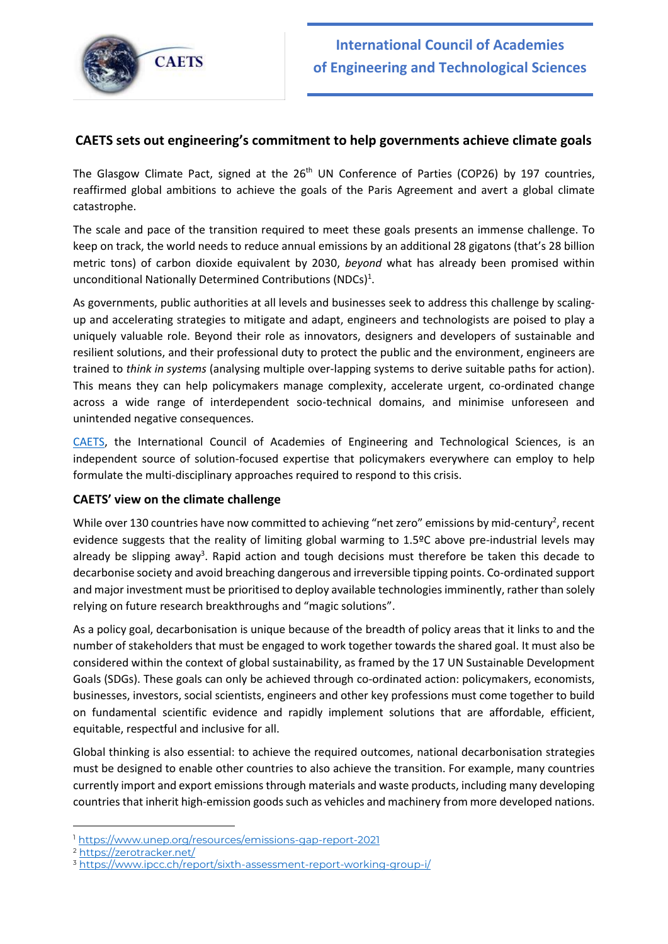

# **CAETS sets out engineering's commitment to help governments achieve climate goals**

The Glasgow Climate Pact, signed at the  $26<sup>th</sup>$  UN Conference of Parties (COP26) by 197 countries, reaffirmed global ambitions to achieve the goals of the Paris Agreement and avert a global climate catastrophe.

The scale and pace of the transition required to meet these goals presents an immense challenge. To keep on track, the world needs to reduce annual emissions by an additional 28 gigatons (that's 28 billion metric tons) of carbon dioxide equivalent by 2030, *beyond* what has already been promised within unconditional Nationally Determined Contributions (NDCs)<sup>1</sup>.

As governments, public authorities at all levels and businesses seek to address this challenge by scalingup and accelerating strategies to mitigate and adapt, engineers and technologists are poised to play a uniquely valuable role. Beyond their role as innovators, designers and developers of sustainable and resilient solutions, and their professional duty to protect the public and the environment, engineers are trained to *think in systems* (analysing multiple over-lapping systems to derive suitable paths for action). This means they can help policymakers manage complexity, accelerate urgent, co-ordinated change across a wide range of interdependent socio-technical domains, and minimise unforeseen and unintended negative consequences.

[CAETS,](https://www.newcaets.org/membership-2/about-member-academies/) the International Council of Academies of Engineering and Technological Sciences, is an independent source of solution-focused expertise that policymakers everywhere can employ to help formulate the multi-disciplinary approaches required to respond to this crisis.

# **CAETS' view on the climate challenge**

While over 130 countries have now committed to achieving "net zero" emissions by mid-century<sup>2</sup>, recent evidence suggests that the reality of limiting global warming to 1.5ºC above pre-industrial levels may already be slipping away<sup>3</sup>. Rapid action and tough decisions must therefore be taken this decade to decarbonise society and avoid breaching dangerous and irreversible tipping points. Co-ordinated support and major investment must be prioritised to deploy available technologies imminently, rather than solely relying on future research breakthroughs and "magic solutions".

As a policy goal, decarbonisation is unique because of the breadth of policy areas that it links to and the number of stakeholders that must be engaged to work together towards the shared goal. It must also be considered within the context of global sustainability, as framed by the 17 UN Sustainable Development Goals (SDGs). These goals can only be achieved through co-ordinated action: policymakers, economists, businesses, investors, social scientists, engineers and other key professions must come together to build on fundamental scientific evidence and rapidly implement solutions that are affordable, efficient, equitable, respectful and inclusive for all.

Global thinking is also essential: to achieve the required outcomes, national decarbonisation strategies must be designed to enable other countries to also achieve the transition. For example, many countries currently import and export emissions through materials and waste products, including many developing countries that inherit high-emission goods such as vehicles and machinery from more developed nations.

<sup>1</sup> <https://www.unep.org/resources/emissions-gap-report-2021>

<sup>2</sup> <https://zerotracker.net/>

<sup>&</sup>lt;sup>3</sup> <https://www.ipcc.ch/report/sixth-assessment-report-working-group-i/>